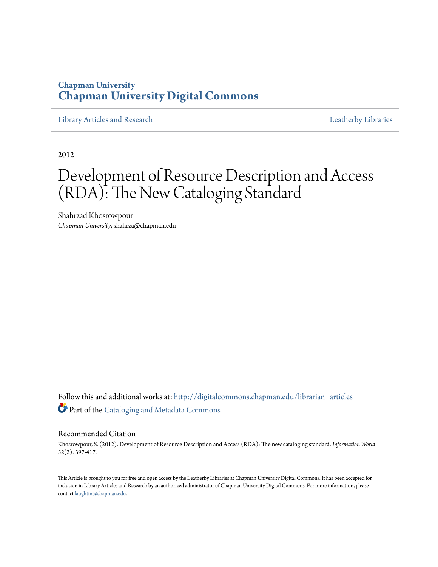## **Chapman University [Chapman University Digital Commons](http://digitalcommons.chapman.edu?utm_source=digitalcommons.chapman.edu%2Flibrarian_articles%2F21&utm_medium=PDF&utm_campaign=PDFCoverPages)**

[Library Articles and Research](http://digitalcommons.chapman.edu/librarian_articles?utm_source=digitalcommons.chapman.edu%2Flibrarian_articles%2F21&utm_medium=PDF&utm_campaign=PDFCoverPages) **Libraries** [Leatherby Libraries](http://digitalcommons.chapman.edu/leatherbylibraries?utm_source=digitalcommons.chapman.edu%2Flibrarian_articles%2F21&utm_medium=PDF&utm_campaign=PDFCoverPages)

2012

# Development of Resource Description and Access (RDA): The New Cataloging Standard

Shahrzad Khosrowpour *Chapman University*, shahrza@chapman.edu

Follow this and additional works at: [http://digitalcommons.chapman.edu/librarian\\_articles](http://digitalcommons.chapman.edu/librarian_articles?utm_source=digitalcommons.chapman.edu%2Flibrarian_articles%2F21&utm_medium=PDF&utm_campaign=PDFCoverPages) Part of the [Cataloging and Metadata Commons](http://network.bepress.com/hgg/discipline/1270?utm_source=digitalcommons.chapman.edu%2Flibrarian_articles%2F21&utm_medium=PDF&utm_campaign=PDFCoverPages)

#### Recommended Citation

Khosrowpour, S. (2012). Development of Resource Description and Access (RDA): The new cataloging standard. *Information World 32*(2): 397-417.

This Article is brought to you for free and open access by the Leatherby Libraries at Chapman University Digital Commons. It has been accepted for inclusion in Library Articles and Research by an authorized administrator of Chapman University Digital Commons. For more information, please contact [laughtin@chapman.edu](mailto:laughtin@chapman.edu).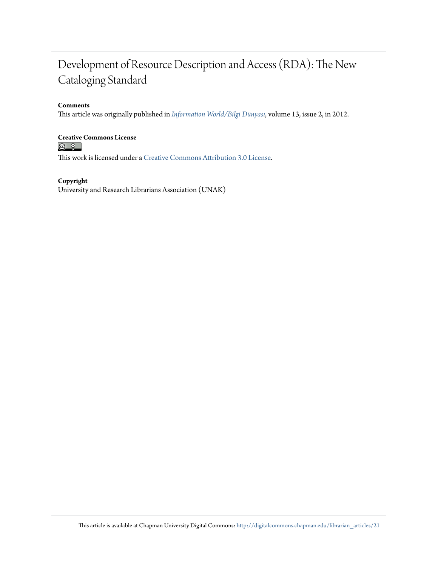## Development of Resource Description and Access (RDA): The New Cataloging Standard

#### **Comments**

This article was originally published in *[Information World/Bilgi Dünyası](http://bd.org.tr/index.php/bd/index)*, volume 13, issue 2, in 2012.

## **Creative Commons License**<br> **<b>a 0**<br> **a 0**

This work is licensed under a [Creative Commons Attribution 3.0 License.](http://creativecommons.org/licenses/by/3.0/)

#### **Copyright**

University and Research Librarians Association (UNAK)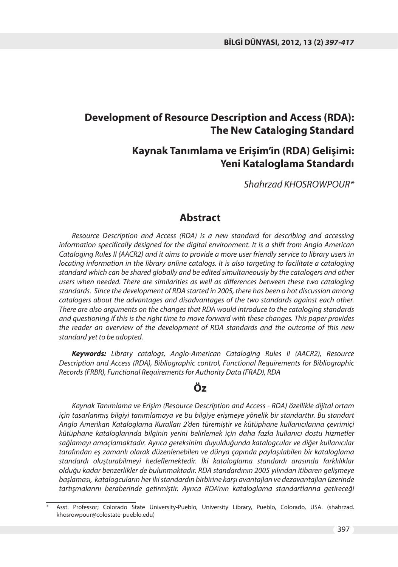#### **Development of Resource Description and Access (RDA): The New Cataloging Standard**

#### **Kaynak Tanımlama ve Erişim'in (RDA) Gelişimi: Yeni Kataloglama Standardı**

Shahrzad KHOSROWPOUR\*

#### **Abstract**

Resource Description and Access (RDA) is a new standard for describing and accessing information specifically designed for the digital environment. It is a shift from Anglo American Cataloging Rules II (AACR2) and it aims to provide a more user friendly service to library users in locating information in the library online catalogs. It is also targeting to facilitate a cataloging standard which can be shared globally and be edited simultaneously by the catalogers and other users when needed. There are similarities as well as differences between these two cataloging standards. Since the development of RDA started in 2005, there has been a hot discussion among catalogers about the advantages and disadvantages of the two standards against each other. There are also arguments on the changes that RDA would introduce to the cataloging standards and questioning if this is the right time to move forward with these changes. This paper provides the reader an overview of the development of RDA standards and the outcome of this new standard yet to be adopted.

*Keywords:* Library catalogs, Anglo-American Cataloging Rules II (AACR2), Resource Description and Access (RDA), Bibliographic control, Functional Requirements for Bibliographic Records (FRBR), Functional Requirements for Authority Data (FRAD), RDA

#### **Öz**

Kaynak Tanımlama ve Erişim (Resource Description and Access - RDA) özellikle dijital ortam için tasarlanmış bilgiyi tanımlamaya ve bu bilgiye erişmeye yönelik bir standarttır. Bu standart Anglo Amerikan Kataloglama Kuralları 2'den türemiştir ve kütüphane kullanıcılarına çevrimiçi kütüphane kataloglarında bilginin yerini belirlemek için daha fazla kullanıcı dostu hizmetler sağlamayı amaçlamaktadır. Ayrıca gereksinim duyulduğunda katalogcular ve diğer kullanıcılar tarafından eş zamanlı olarak düzenlenebilen ve dünya çapında paylaşılabilen bir kataloglama standardı oluşturabilmeyi hedeflemektedir. İki kataloglama standardı arasında farklılıklar olduğu kadar benzerlikler de bulunmaktadır. RDA standardının 2005 yılından itibaren gelişmeye başlaması, katalogcuların her iki standardın birbirine karşı avantajları ve dezavantajları üzerinde tartışmalarını beraberinde getirmiştir. Ayrıca RDA'nın kataloglama standartlarına getireceği

l

Asst. Professor; Colorado State University-Pueblo, University Library, Pueblo, Colorado, USA. (shahrzad. khosrowpour@colostate-pueblo.edu)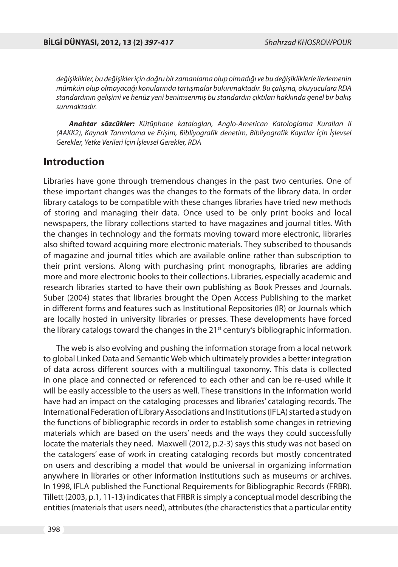değişiklikler, bu değişikler için doğru bir zamanlama olup olmadığı ve bu değişikliklerle ilerlemenin mümkün olup olmayacağı konularında tartışmalar bulunmaktadır. Bu çalışma, okuyuculara RDA standardının gelişimi ve henüz yeni benimsenmiş bu standardın çıktıları hakkında genel bir bakış sunmaktadır.

*Anahtar sözcükler:* Kütüphane katalogları, Anglo-American Katologlama Kuralları II (AAKK2), Kaynak Tanımlama ve Erişim, Bibliyografik denetim, Bibliyografik Kayıtlar İçin İşlevsel Gerekler, Yetke Verileri İçin İşlevsel Gerekler, RDA

#### **Introduction**

Libraries have gone through tremendous changes in the past two centuries. One of these important changes was the changes to the formats of the library data. In order library catalogs to be compatible with these changes libraries have tried new methods of storing and managing their data. Once used to be only print books and local newspapers, the library collections started to have magazines and journal titles. With the changes in technology and the formats moving toward more electronic, libraries also shifted toward acquiring more electronic materials. They subscribed to thousands of magazine and journal titles which are available online rather than subscription to their print versions. Along with purchasing print monographs, libraries are adding more and more electronic books to their collections. Libraries, especially academic and research libraries started to have their own publishing as Book Presses and Journals. Suber (2004) states that libraries brought the Open Access Publishing to the market in different forms and features such as Institutional Repositories (IR) or Journals which are locally hosted in university libraries or presses. These developments have forced the library catalogs toward the changes in the 21<sup>st</sup> century's bibliographic information.

The web is also evolving and pushing the information storage from a local network to global Linked Data and Semantic Web which ultimately provides a better integration of data across different sources with a multilingual taxonomy. This data is collected in one place and connected or referenced to each other and can be re-used while it will be easily accessible to the users as well. These transitions in the information world have had an impact on the cataloging processes and libraries' cataloging records. The International Federation of Library Associations and Institutions (IFLA) started a study on the functions of bibliographic records in order to establish some changes in retrieving materials which are based on the users' needs and the ways they could successfully locate the materials they need. Maxwell (2012, p.2-3) says this study was not based on the catalogers' ease of work in creating cataloging records but mostly concentrated on users and describing a model that would be universal in organizing information anywhere in libraries or other information institutions such as museums or archives. In 1998, IFLA published the Functional Requirements for Bibliographic Records (FRBR). Tillett (2003, p.1, 11-13) indicates that FRBR is simply a conceptual model describing the entities (materials that users need), attributes (the characteristics that a particular entity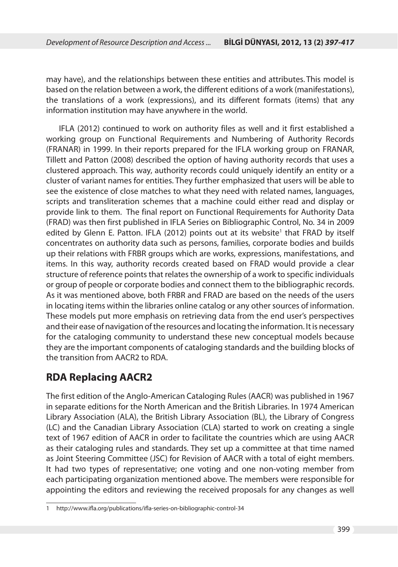may have), and the relationships between these entities and attributes. This model is based on the relation between a work, the different editions of a work (manifestations), the translations of a work (expressions), and its different formats (items) that any information institution may have anywhere in the world.

IFLA (2012) continued to work on authority files as well and it first established a working group on Functional Requirements and Numbering of Authority Records (FRANAR) in 1999. In their reports prepared for the IFLA working group on FRANAR, Tillett and Patton (2008) described the option of having authority records that uses a clustered approach. This way, authority records could uniquely identify an entity or a cluster of variant names for entities. They further emphasized that users will be able to see the existence of close matches to what they need with related names, languages, scripts and transliteration schemes that a machine could either read and display or provide link to them. The final report on Functional Requirements for Authority Data (FRAD) was then first published in IFLA Series on Bibliographic Control, No. 34 in 2009 edited by Glenn E. Patton. IFLA (2012) points out at its website<sup>1</sup> that FRAD by itself concentrates on authority data such as persons, families, corporate bodies and builds up their relations with FRBR groups which are works, expressions, manifestations, and items. In this way, authority records created based on FRAD would provide a clear structure of reference points that relates the ownership of a work to specific individuals or group of people or corporate bodies and connect them to the bibliographic records. As it was mentioned above, both FRBR and FRAD are based on the needs of the users in locating items within the libraries online catalog or any other sources of information. These models put more emphasis on retrieving data from the end user's perspectives and their ease of navigation of the resources and locating the information. It is necessary for the cataloging community to understand these new conceptual models because they are the important components of cataloging standards and the building blocks of the transition from AACR2 to RDA.

## **RDA Replacing AACR2**

The first edition of the Anglo-American Cataloging Rules (AACR) was published in 1967 in separate editions for the North American and the British Libraries. In 1974 American Library Association (ALA), the British Library Association (BL), the Library of Congress (LC) and the Canadian Library Association (CLA) started to work on creating a single text of 1967 edition of AACR in order to facilitate the countries which are using AACR as their cataloging rules and standards. They set up a committee at that time named as Joint Steering Committee (JSC) for Revision of AACR with a total of eight members. It had two types of representative; one voting and one non-voting member from each participating organization mentioned above. The members were responsible for appointing the editors and reviewing the received proposals for any changes as well

http://www.ifla.org/publications/ifla-series-on-bibliographic-control-34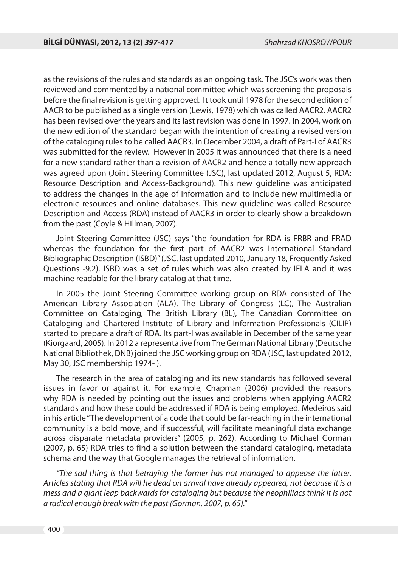as the revisions of the rules and standards as an ongoing task. The JSC's work was then reviewed and commented by a national committee which was screening the proposals before the final revision is getting approved. It took until 1978 for the second edition of AACR to be published as a single version (Lewis, 1978) which was called AACR2. AACR2 has been revised over the years and its last revision was done in 1997. In 2004, work on the new edition of the standard began with the intention of creating a revised version of the cataloging rules to be called AACR3. In December 2004, a draft of Part-I of AACR3 was submitted for the review. However in 2005 it was announced that there is a need for a new standard rather than a revision of AACR2 and hence a totally new approach was agreed upon (Joint Steering Committee (JSC), last updated 2012, August 5, RDA: Resource Description and Access-Background). This new guideline was anticipated to address the changes in the age of information and to include new multimedia or electronic resources and online databases. This new guideline was called Resource Description and Access (RDA) instead of AACR3 in order to clearly show a breakdown from the past (Coyle & Hillman, 2007).

Joint Steering Committee (JSC) says "the foundation for RDA is FRBR and FRAD whereas the foundation for the first part of AACR2 was International Standard Bibliographic Description (ISBD)" (JSC, last updated 2010, January 18, Frequently Asked Questions -9.2). ISBD was a set of rules which was also created by IFLA and it was machine readable for the library catalog at that time.

In 2005 the Joint Steering Committee working group on RDA consisted of The American Library Association (ALA), The Library of Congress (LC), The Australian Committee on Cataloging, The British Library (BL), The Canadian Committee on Cataloging and Chartered Institute of Library and Information Professionals (CILIP) started to prepare a draft of RDA. Its part-I was available in December of the same year (Kiorgaard, 2005). In 2012 a representative from The German National Library (Deutsche National Bibliothek, DNB) joined the JSC working group on RDA (JSC, last updated 2012, May 30, JSC membership 1974- ).

The research in the area of cataloging and its new standards has followed several issues in favor or against it. For example, Chapman (2006) provided the reasons why RDA is needed by pointing out the issues and problems when applying AACR2 standards and how these could be addressed if RDA is being employed. Medeiros said in his article "The development of a code that could be far-reaching in the international community is a bold move, and if successful, will facilitate meaningful data exchange across disparate metadata providers" (2005, p. 262). According to Michael Gorman (2007, p. 65) RDA tries to find a solution between the standard cataloging, metadata schema and the way that Google manages the retrieval of information.

"The sad thing is that betraying the former has not managed to appease the latter. Articles stating that RDA will he dead on arrival have already appeared, not because it is a mess and a giant leap backwards for cataloging but because the neophiliacs think it is not a radical enough break with the past (Gorman, 2007, p. 65)."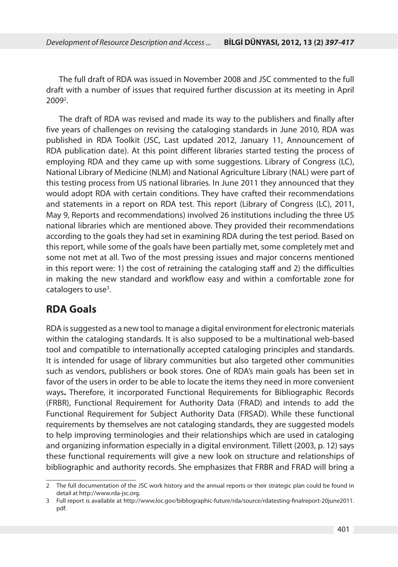The full draft of RDA was issued in November 2008 and JSC commented to the full draft with a number of issues that required further discussion at its meeting in April  $2009<sup>2</sup>$ .

The draft of RDA was revised and made its way to the publishers and finally after five years of challenges on revising the cataloging standards in June 2010, RDA was published in RDA Toolkit (JSC, Last updated 2012, January 11, Announcement of RDA publication date). At this point different libraries started testing the process of employing RDA and they came up with some suggestions. Library of Congress (LC), National Library of Medicine (NLM) and National Agriculture Library (NAL) were part of this testing process from US national libraries. In June 2011 they announced that they would adopt RDA with certain conditions. They have crafted their recommendations and statements in a report on RDA test. This report (Library of Congress (LC), 2011, May 9, Reports and recommendations) involved 26 institutions including the three US national libraries which are mentioned above. They provided their recommendations according to the goals they had set in examining RDA during the test period. Based on this report, while some of the goals have been partially met, some completely met and some not met at all. Two of the most pressing issues and major concerns mentioned in this report were: 1) the cost of retraining the cataloging staff and 2) the difficulties in making the new standard and workflow easy and within a comfortable zone for catalogers to use<sup>3</sup>.

### **RDA Goals**

RDA is suggested as a new tool to manage a digital environment for electronic materials within the cataloging standards. It is also supposed to be a multinational web-based tool and compatible to internationally accepted cataloging principles and standards. It is intended for usage of library communities but also targeted other communities such as vendors, publishers or book stores. One of RDA's main goals has been set in favor of the users in order to be able to locate the items they need in more convenient ways**.** Therefore, it incorporated Functional Requirements for Bibliographic Records (FRBR), Functional Requirement for Authority Data (FRAD) and intends to add the Functional Requirement for Subject Authority Data (FRSAD). While these functional requirements by themselves are not cataloging standards, they are suggested models to help improving terminologies and their relationships which are used in cataloging and organizing information especially in a digital environment. Tillett (2003, p. 12) says these functional requirements will give a new look on structure and relationships of bibliographic and authority records. She emphasizes that FRBR and FRAD will bring a

<sup>2</sup> The full documentation of the JSC work history and the annual reports or their strategic plan could be found in detail at http://www.rda-jsc.org.

<sup>3</sup> Full report is available at http://www.loc.gov/bibliographic-future/rda/source/rdatesting-finalreport-20june2011. pdf.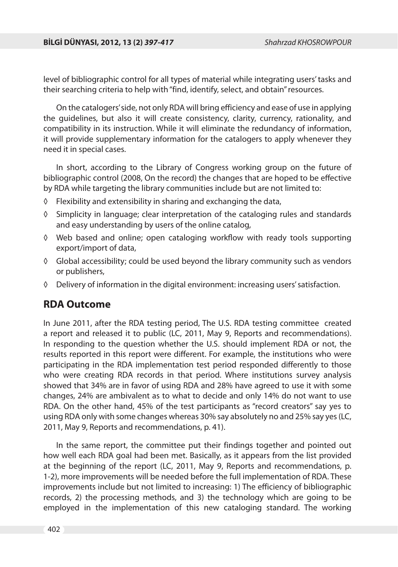level of bibliographic control for all types of material while integrating users' tasks and their searching criteria to help with "find, identify, select, and obtain" resources.

On the catalogers' side, not only RDA will bring efficiency and ease of use in applying the guidelines, but also it will create consistency, clarity, currency, rationality, and compatibility in its instruction. While it will eliminate the redundancy of information, it will provide supplementary information for the catalogers to apply whenever they need it in special cases.

In short, according to the Library of Congress working group on the future of bibliographic control (2008, On the record) the changes that are hoped to be effective by RDA while targeting the library communities include but are not limited to:

- ◊ Flexibility and extensibility in sharing and exchanging the data,
- ◊ Simplicity in language; clear interpretation of the cataloging rules and standards and easy understanding by users of the online catalog,
- $\Diamond$  Web based and online; open cataloging workflow with ready tools supporting export/import of data,
- ◊ Global accessibility; could be used beyond the library community such as vendors or publishers,
- ◊ Delivery of information in the digital environment: increasing users' satisfaction.

#### **RDA Outcome**

In June 2011, after the RDA testing period, The U.S. RDA testing committee created a report and released it to public (LC, 2011, May 9, Reports and recommendations). In responding to the question whether the U.S. should implement RDA or not, the results reported in this report were different. For example, the institutions who were participating in the RDA implementation test period responded differently to those who were creating RDA records in that period. Where institutions survey analysis showed that 34% are in favor of using RDA and 28% have agreed to use it with some changes, 24% are ambivalent as to what to decide and only 14% do not want to use RDA. On the other hand, 45% of the test participants as "record creators" say yes to using RDA only with some changes whereas 30% say absolutely no and 25% say yes (LC, 2011, May 9, Reports and recommendations, p. 41).

In the same report, the committee put their findings together and pointed out how well each RDA goal had been met. Basically, as it appears from the list provided at the beginning of the report (LC, 2011, May 9, Reports and recommendations, p. 1-2), more improvements will be needed before the full implementation of RDA. These improvements include but not limited to increasing: 1) The efficiency of bibliographic records, 2) the processing methods, and 3) the technology which are going to be employed in the implementation of this new cataloging standard. The working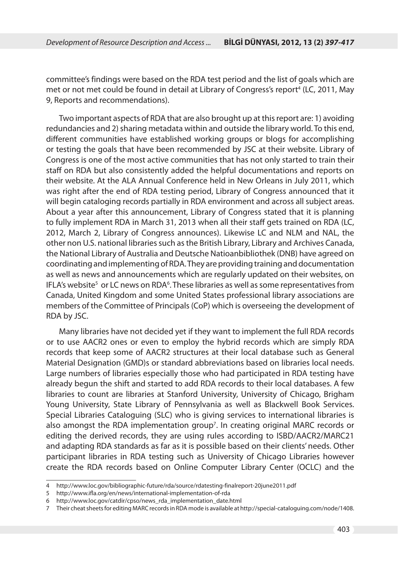committee's findings were based on the RDA test period and the list of goals which are met or not met could be found in detail at Library of Congress's report<sup>4</sup> (LC, 2011, May 9, Reports and recommendations).

Two important aspects of RDA that are also brought up at this report are: 1) avoiding redundancies and 2) sharing metadata within and outside the library world. To this end, different communities have established working groups or blogs for accomplishing or testing the goals that have been recommended by JSC at their website. Library of Congress is one of the most active communities that has not only started to train their staff on RDA but also consistently added the helpful documentations and reports on their website. At the ALA Annual Conference held in New Orleans in July 2011, which was right after the end of RDA testing period, Library of Congress announced that it will begin cataloging records partially in RDA environment and across all subject areas. About a year after this announcement, Library of Congress stated that it is planning to fully implement RDA in March 31, 2013 when all their staff gets trained on RDA (LC, 2012, March 2, Library of Congress announces). Likewise LC and NLM and NAL, the other non U.S. national libraries such as the British Library, Library and Archives Canada, the National Library of Australia and Deutsche Natioanbibliothek (DNB) have agreed on coordinating and implementing of RDA. They are providing training and documentation as well as news and announcements which are regularly updated on their websites, on IFLA's website<sup>5</sup> or LC news on RDA<sup>6</sup>. These libraries as well as some representatives from Canada, United Kingdom and some United States professional library associations are members of the Committee of Principals (CoP) which is overseeing the development of RDA by JSC.

Many libraries have not decided yet if they want to implement the full RDA records or to use AACR2 ones or even to employ the hybrid records which are simply RDA records that keep some of AACR2 structures at their local database such as General Material Designation (GMD)s or standard abbreviations based on libraries local needs. Large numbers of libraries especially those who had participated in RDA testing have already begun the shift and started to add RDA records to their local databases. A few libraries to count are libraries at Stanford University, University of Chicago, Brigham Young University, State Library of Pennsylvania as well as Blackwell Book Services. Special Libraries Cataloguing (SLC) who is giving services to international libraries is also amongst the RDA implementation group7 . In creating original MARC records or editing the derived records, they are using rules according to ISBD/AACR2/MARC21 and adapting RDA standards as far as it is possible based on their clients' needs. Other participant libraries in RDA testing such as University of Chicago Libraries however create the RDA records based on Online Computer Library Center (OCLC) and the

<sup>4</sup> http://www.loc.gov/bibliographic-future/rda/source/rdatesting-finalreport-20june2011.pdf

<sup>5</sup> http://www.ifla.org/en/news/international-implementation-of-rda

<sup>6</sup> http://www.loc.gov/catdir/cpso/news\_rda\_implementation\_date.html

<sup>7</sup> Their cheat sheets for editing MARC records in RDA mode is available at http://special-cataloguing.com/node/1408.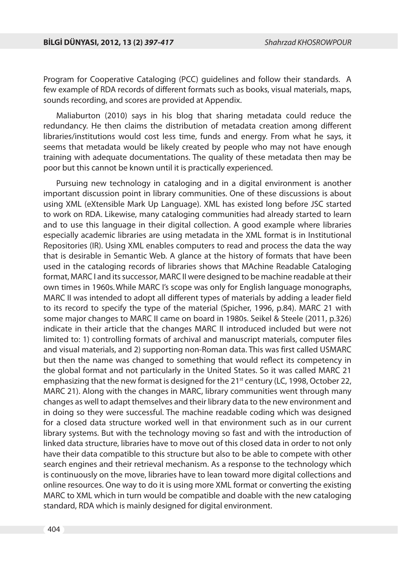Program for Cooperative Cataloging (PCC) guidelines and follow their standards. A few example of RDA records of different formats such as books, visual materials, maps, sounds recording, and scores are provided at Appendix.

Maliaburton (2010) says in his blog that sharing metadata could reduce the redundancy. He then claims the distribution of metadata creation among different libraries/institutions would cost less time, funds and energy. From what he says, it seems that metadata would be likely created by people who may not have enough training with adequate documentations. The quality of these metadata then may be poor but this cannot be known until it is practically experienced.

Pursuing new technology in cataloging and in a digital environment is another important discussion point in library communities. One of these discussions is about using XML (eXtensible Mark Up Language). XML has existed long before JSC started to work on RDA. Likewise, many cataloging communities had already started to learn and to use this language in their digital collection. A good example where libraries especially academic libraries are using metadata in the XML format is in Institutional Repositories (IR). Using XML enables computers to read and process the data the way that is desirable in Semantic Web. A glance at the history of formats that have been used in the cataloging records of libraries shows that MAchine Readable Cataloging format, MARC I and its successor, MARC II were designed to be machine readable at their own times in 1960s.While MARC I's scope was only for English language monographs, MARC II was intended to adopt all different types of materials by adding a leader field to its record to specify the type of the material (Spicher, 1996, p.84). MARC 21 with some major changes to MARC II came on board in 1980s. Seikel & Steele (2011, p.326) indicate in their article that the changes MARC II introduced included but were not limited to: 1) controlling formats of archival and manuscript materials, computer files and visual materials, and 2) supporting non-Roman data. This was first called USMARC but then the name was changed to something that would reflect its competency in the global format and not particularly in the United States. So it was called MARC 21 emphasizing that the new format is designed for the  $21<sup>st</sup>$  century (LC, 1998, October 22, MARC 21). Along with the changes in MARC, library communities went through many changes as well to adapt themselves and their library data to the new environment and in doing so they were successful. The machine readable coding which was designed for a closed data structure worked well in that environment such as in our current library systems. But with the technology moving so fast and with the introduction of linked data structure, libraries have to move out of this closed data in order to not only have their data compatible to this structure but also to be able to compete with other search engines and their retrieval mechanism. As a response to the technology which is continuously on the move, libraries have to lean toward more digital collections and online resources. One way to do it is using more XML format or converting the existing MARC to XML which in turn would be compatible and doable with the new cataloging standard, RDA which is mainly designed for digital environment.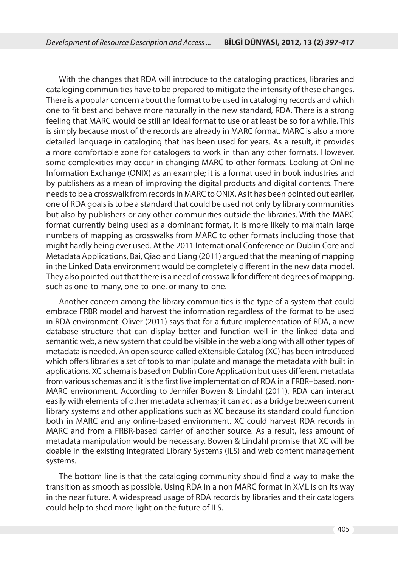With the changes that RDA will introduce to the cataloging practices, libraries and cataloging communities have to be prepared to mitigate the intensity of these changes. There is a popular concern about the format to be used in cataloging records and which one to fit best and behave more naturally in the new standard, RDA. There is a strong feeling that MARC would be still an ideal format to use or at least be so for a while. This is simply because most of the records are already in MARC format. MARC is also a more detailed language in cataloging that has been used for years. As a result, it provides a more comfortable zone for catalogers to work in than any other formats. However, some complexities may occur in changing MARC to other formats. Looking at Online Information Exchange (ONIX) as an example; it is a format used in book industries and by publishers as a mean of improving the digital products and digital contents. There needs to be a crosswalk from records in MARC to ONIX. As it has been pointed out earlier, one of RDA goals is to be a standard that could be used not only by library communities but also by publishers or any other communities outside the libraries. With the MARC format currently being used as a dominant format, it is more likely to maintain large numbers of mapping as crosswalks from MARC to other formats including those that might hardly being ever used. At the 2011 International Conference on Dublin Core and Metadata Applications, Bai, Qiao and Liang (2011) argued that the meaning of mapping in the Linked Data environment would be completely different in the new data model. They also pointed out that there is a need of crosswalk for different degrees of mapping, such as one-to-many, one-to-one, or many-to-one.

Another concern among the library communities is the type of a system that could embrace FRBR model and harvest the information regardless of the format to be used in RDA environment. Oliver (2011) says that for a future implementation of RDA, a new database structure that can display better and function well in the linked data and semantic web, a new system that could be visible in the web along with all other types of metadata is needed. An open source called eXtensible Catalog (XC) has been introduced which offers libraries a set of tools to manipulate and manage the metadata with built in applications. XC schema is based on Dublin Core Application but uses different metadata from various schemas and it is the first live implementation of RDA in a FRBR–based, non-MARC environment. According to Jennifer Bowen & Lindahl (2011), RDA can interact easily with elements of other metadata schemas; it can act as a bridge between current library systems and other applications such as XC because its standard could function both in MARC and any online-based environment. XC could harvest RDA records in MARC and from a FRBR-based carrier of another source. As a result, less amount of metadata manipulation would be necessary. Bowen & Lindahl promise that XC will be doable in the existing Integrated Library Systems (ILS) and web content management systems.

The bottom line is that the cataloging community should find a way to make the transition as smooth as possible. Using RDA in a non MARC format in XML is on its way in the near future. A widespread usage of RDA records by libraries and their catalogers could help to shed more light on the future of ILS.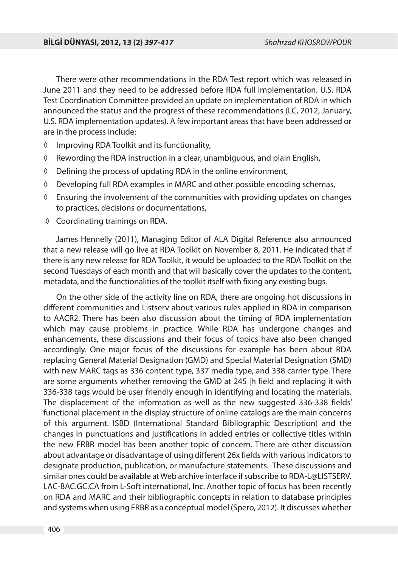There were other recommendations in the RDA Test report which was released in June 2011 and they need to be addressed before RDA full implementation. U.S. RDA Test Coordination Committee provided an update on implementation of RDA in which announced the status and the progress of these recommendations (LC, 2012, January, U.S. RDA implementation updates). A few important areas that have been addressed or are in the process include:

- ◊ Improving RDA Toolkit and its functionality,
- ◊ Rewording the RDA instruction in a clear, unambiguous, and plain English,
- ◊ Defining the process of updating RDA in the online environment,
- ◊ Developing full RDA examples in MARC and other possible encoding schemas,
- ◊ Ensuring the involvement of the communities with providing updates on changes to practices, decisions or documentations,
- ◊ Coordinating trainings on RDA.

James Hennelly (2011), Managing Editor of ALA Digital Reference also announced that a new release will go live at RDA Toolkit on November 8, 2011. He indicated that if there is any new release for RDA Toolkit, it would be uploaded to the RDA Toolkit on the second Tuesdays of each month and that will basically cover the updates to the content, metadata, and the functionalities of the toolkit itself with fixing any existing bugs.

On the other side of the activity line on RDA, there are ongoing hot discussions in different communities and Listserv about various rules applied in RDA in comparison to AACR2. There has been also discussion about the timing of RDA implementation which may cause problems in practice. While RDA has undergone changes and enhancements, these discussions and their focus of topics have also been changed accordingly. One major focus of the discussions for example has been about RDA replacing General Material Designation (GMD) and Special Material Designation (SMD) with new MARC tags as 336 content type, 337 media type, and 338 carrier type. There are some arguments whether removing the GMD at 245 |h field and replacing it with 336-338 tags would be user friendly enough in identifying and locating the materials. The displacement of the information as well as the new suggested 336-338 fields' functional placement in the display structure of online catalogs are the main concerns of this argument. ISBD (International Standard Bibliographic Description) and the changes in punctuations and justifications in added entries or collective titles within the new FRBR model has been another topic of concern. There are other discussion about advantage or disadvantage of using different 26x fields with various indicators to designate production, publication, or manufacture statements. These discussions and similar ones could be available at Web archive interface if subscribe to RDA-L@LISTSERV. LAC-BAC.GC.CA from L-Soft international, Inc. Another topic of focus has been recently on RDA and MARC and their bibliographic concepts in relation to database principles and systems when using FRBR as a conceptual model (Spero, 2012). It discusses whether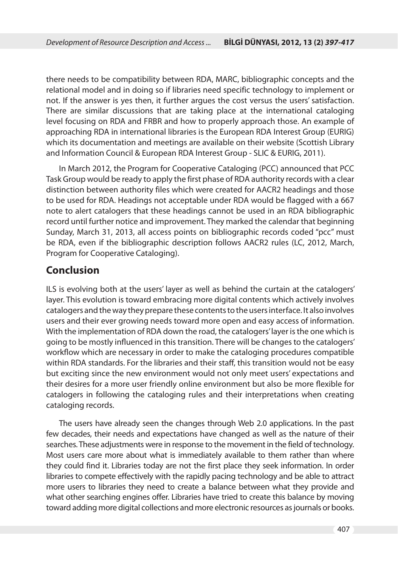there needs to be compatibility between RDA, MARC, bibliographic concepts and the relational model and in doing so if libraries need specific technology to implement or not. If the answer is yes then, it further argues the cost versus the users' satisfaction. There are similar discussions that are taking place at the international cataloging level focusing on RDA and FRBR and how to properly approach those. An example of approaching RDA in international libraries is the European RDA Interest Group (EURIG) which its documentation and meetings are available on their website (Scottish Library and Information Council & European RDA Interest Group - SLIC & EURIG, 2011).

In March 2012, the Program for Cooperative Cataloging (PCC) announced that PCC Task Group would be ready to apply the first phase of RDA authority records with a clear distinction between authority files which were created for AACR2 headings and those to be used for RDA. Headings not acceptable under RDA would be flagged with a 667 note to alert catalogers that these headings cannot be used in an RDA bibliographic record until further notice and improvement. They marked the calendar that beginning Sunday, March 31, 2013, all access points on bibliographic records coded "pcc" must be RDA, even if the bibliographic description follows AACR2 rules (LC, 2012, March, Program for Cooperative Cataloging).

## **Conclusion**

ILS is evolving both at the users' layer as well as behind the curtain at the catalogers' layer. This evolution is toward embracing more digital contents which actively involves catalogers and the way they prepare these contents to the users interface. It also involves users and their ever growing needs toward more open and easy access of information. With the implementation of RDA down the road, the catalogers' layer is the one which is going to be mostly influenced in this transition. There will be changes to the catalogers' workflow which are necessary in order to make the cataloging procedures compatible within RDA standards. For the libraries and their staff, this transition would not be easy but exciting since the new environment would not only meet users' expectations and their desires for a more user friendly online environment but also be more flexible for catalogers in following the cataloging rules and their interpretations when creating cataloging records.

The users have already seen the changes through Web 2.0 applications. In the past few decades, their needs and expectations have changed as well as the nature of their searches. These adjustments were in response to the movement in the field of technology. Most users care more about what is immediately available to them rather than where they could find it. Libraries today are not the first place they seek information. In order libraries to compete effectively with the rapidly pacing technology and be able to attract more users to libraries they need to create a balance between what they provide and what other searching engines offer. Libraries have tried to create this balance by moving toward adding more digital collections and more electronic resources as journals or books.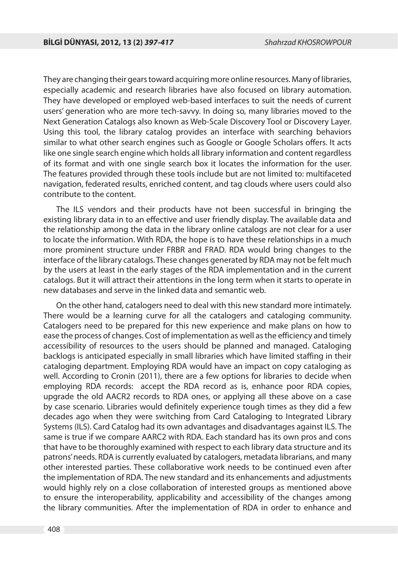They are changing their gears toward acquiring more online resources. Many of libraries, especially academic and research libraries have also focused on library automation. They have developed or employed web-based interfaces to suit the needs of current users' generation who are more tech-savvy. In doing so, many libraries moved to the Next Generation Catalogs also known as Web-Scale Discovery Tool or Discovery Layer. Using this tool, the library catalog provides an interface with searching behaviors similar to what other search engines such as Google or Google Scholars offers. It acts like one single search engine which holds all library information and content regardless of its format and with one single search box it locates the information for the user. The features provided through these tools include but are not limited to: multifaceted navigation, federated results, enriched content, and tag clouds where users could also contribute to the content.

The ILS vendors and their products have not been successful in bringing the existing library data in to an effective and user friendly display. The available data and the relationship among the data in the library online catalogs are not clear for a user to locate the information. With RDA, the hope is to have these relationships in a much more prominent structure under FRBR and FRAD. RDA would bring changes to the interface of the library catalogs. These changes generated by RDA may not be felt much by the users at least in the early stages of the RDA implementation and in the current catalogs. But it will attract their attentions in the long term when it starts to operate in new databases and serve in the linked data and semantic web.

On the other hand, catalogers need to deal with this new standard more intimately. There would be a learning curve for all the catalogers and cataloging community. Catalogers need to be prepared for this new experience and make plans on how to ease the process of changes. Cost of implementation as well as the efficiency and timely accessibility of resources to the users should be planned and managed. Cataloging backlogs is anticipated especially in small libraries which have limited staffing in their cataloging department. Employing RDA would have an impact on copy cataloging as well. According to Cronin (2011), there are a few options for libraries to decide when employing RDA records: accept the RDA record as is, enhance poor RDA copies, upgrade the old AACR2 records to RDA ones, or applying all these above on a case by case scenario. Libraries would definitely experience tough times as they did a few decades ago when they were switching from Card Cataloging to Integrated Library Systems (ILS). Card Catalog had its own advantages and disadvantages against ILS. The same is true if we compare AARC2 with RDA. Each standard has its own pros and cons that have to be thoroughly examined with respect to each library data structure and its patrons' needs. RDA is currently evaluated by catalogers, metadata librarians, and many other interested parties. These collaborative work needs to be continued even after the implementation of RDA. The new standard and its enhancements and adjustments would highly rely on a close collaboration of interested groups as mentioned above to ensure the interoperability, applicability and accessibility of the changes among the library communities. After the implementation of RDA in order to enhance and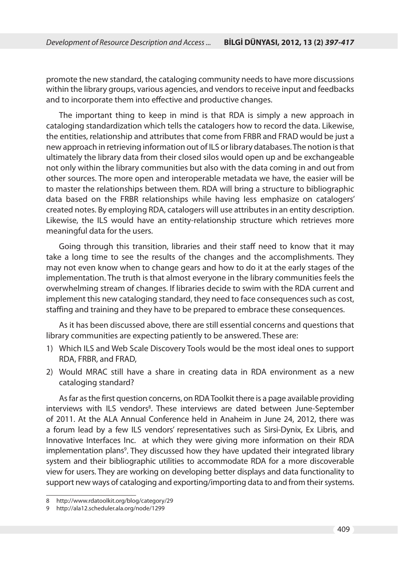promote the new standard, the cataloging community needs to have more discussions within the library groups, various agencies, and vendors to receive input and feedbacks and to incorporate them into effective and productive changes.

The important thing to keep in mind is that RDA is simply a new approach in cataloging standardization which tells the catalogers how to record the data. Likewise, the entities, relationship and attributes that come from FRBR and FRAD would be just a new approach in retrieving information out of ILS or library databases. The notion is that ultimately the library data from their closed silos would open up and be exchangeable not only within the library communities but also with the data coming in and out from other sources. The more open and interoperable metadata we have, the easier will be to master the relationships between them. RDA will bring a structure to bibliographic data based on the FRBR relationships while having less emphasize on catalogers' created notes. By employing RDA, catalogers will use attributes in an entity description. Likewise, the ILS would have an entity-relationship structure which retrieves more meaningful data for the users.

Going through this transition, libraries and their staff need to know that it may take a long time to see the results of the changes and the accomplishments. They may not even know when to change gears and how to do it at the early stages of the implementation. The truth is that almost everyone in the library communities feels the overwhelming stream of changes. If libraries decide to swim with the RDA current and implement this new cataloging standard, they need to face consequences such as cost, staffing and training and they have to be prepared to embrace these consequences.

As it has been discussed above, there are still essential concerns and questions that library communities are expecting patiently to be answered. These are:

- 1) Which ILS and Web Scale Discovery Tools would be the most ideal ones to support RDA, FRBR, and FRAD,
- 2) Would MRAC still have a share in creating data in RDA environment as a new cataloging standard?

As far as the first question concerns, on RDA Toolkit there is a page available providing interviews with ILS vendors<sup>8</sup>. These interviews are dated between June-September of 2011. At the ALA Annual Conference held in Anaheim in June 24, 2012, there was a forum lead by a few ILS vendors' representatives such as Sirsi-Dynix, Ex Libris, and Innovative Interfaces Inc. at which they were giving more information on their RDA implementation plans<sup>9</sup>. They discussed how they have updated their integrated library system and their bibliographic utilities to accommodate RDA for a more discoverable view for users. They are working on developing better displays and data functionality to support new ways of cataloging and exporting/importing data to and from their systems.

<sup>8</sup> http://www.rdatoolkit.org/blog/category/29

<sup>9</sup> http://ala12.scheduler.ala.org/node/1299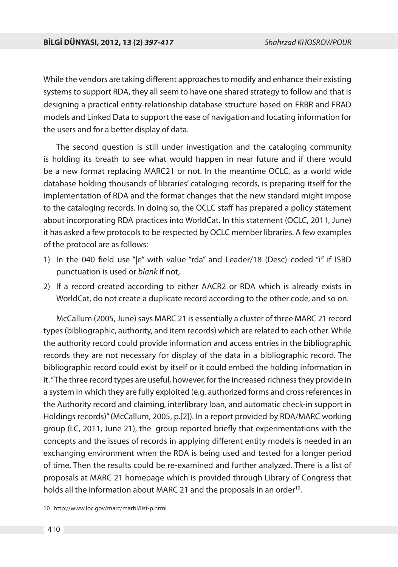While the vendors are taking different approaches to modify and enhance their existing systems to support RDA, they all seem to have one shared strategy to follow and that is designing a practical entity-relationship database structure based on FRBR and FRAD models and Linked Data to support the ease of navigation and locating information for the users and for a better display of data.

The second question is still under investigation and the cataloging community is holding its breath to see what would happen in near future and if there would be a new format replacing MARC21 or not. In the meantime OCLC, as a world wide database holding thousands of libraries' cataloging records, is preparing itself for the implementation of RDA and the format changes that the new standard might impose to the cataloging records. In doing so, the OCLC staff has prepared a policy statement about incorporating RDA practices into WorldCat. In this statement (OCLC, 2011, June) it has asked a few protocols to be respected by OCLC member libraries. A few examples of the protocol are as follows:

- 1) In the 040 field use "|e" with value "rda" and Leader/18 (Desc) coded "i" if ISBD punctuation is used or blank if not,
- 2) If a record created according to either AACR2 or RDA which is already exists in WorldCat, do not create a duplicate record according to the other code, and so on.

McCallum (2005, June) says MARC 21 is essentially a cluster of three MARC 21 record types (bibliographic, authority, and item records) which are related to each other. While the authority record could provide information and access entries in the bibliographic records they are not necessary for display of the data in a bibliographic record. The bibliographic record could exist by itself or it could embed the holding information in it. "The three record types are useful, however, for the increased richness they provide in a system in which they are fully exploited (e.g. authorized forms and cross references in the Authority record and claiming, interlibrary loan, and automatic check-in support in Holdings records)" (McCallum, 2005, p.[2]). In a report provided by RDA/MARC working group (LC, 2011, June 21), the group reported briefly that experimentations with the concepts and the issues of records in applying different entity models is needed in an exchanging environment when the RDA is being used and tested for a longer period of time. Then the results could be re-examined and further analyzed. There is a list of proposals at MARC 21 homepage which is provided through Library of Congress that holds all the information about MARC 21 and the proposals in an order<sup>10</sup>.

<sup>10</sup> http://www.loc.gov/marc/marbi/list-p.html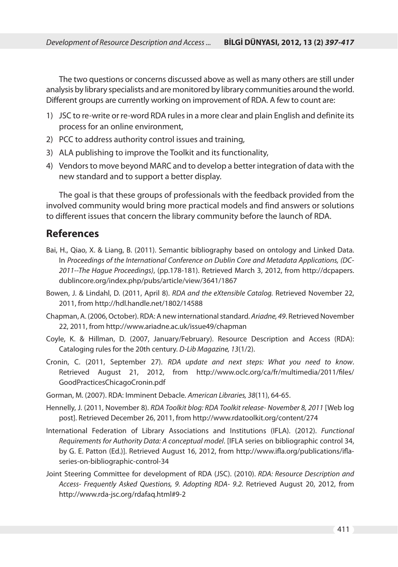The two questions or concerns discussed above as well as many others are still under analysis by library specialists and are monitored by library communities around the world. Different groups are currently working on improvement of RDA. A few to count are:

- 1) JSC to re-write or re-word RDA rules in a more clear and plain English and definite its process for an online environment,
- 2) PCC to address authority control issues and training,
- 3) ALA publishing to improve the Toolkit and its functionality,
- 4) Vendors to move beyond MARC and to develop a better integration of data with the new standard and to support a better display.

The goal is that these groups of professionals with the feedback provided from the involved community would bring more practical models and find answers or solutions to different issues that concern the library community before the launch of RDA.

### **References**

- Bai, H., Qiao, X. & Liang, B. (2011). Semantic bibliography based on ontology and Linked Data. In Proceedings of the International Conference on Dublin Core and Metadata Applications, (DC-2011--The Hague Proceedings), (pp.178-181). Retrieved March 3, 2012, from http://dcpapers. dublincore.org/index.php/pubs/article/view/3641/1867
- Bowen, J. & Lindahl, D. (2011, April 8). RDA and the eXtensible Catalog. Retrieved November 22, 2011, from http://hdl.handle.net/1802/14588
- Chapman, A. (2006, October). RDA: A new international standard. Ariadne, 49. Retrieved November 22, 2011, from http://www.ariadne.ac.uk/issue49/chapman
- Coyle, K. & Hillman, D. (2007, January/February). Resource Description and Access (RDA): Cataloging rules for the 20th century. D-Lib Magazine, 13(1/2).
- Cronin, C. (2011, September 27). RDA update and next steps: What you need to know. Retrieved August 21, 2012, from http://www.oclc.org/ca/fr/multimedia/2011/files/ GoodPracticesChicagoCronin.pdf
- Gorman, M. (2007). RDA: Imminent Debacle. American Libraries, 38(11), 64-65.
- Hennelly, J. (2011, November 8). RDA Toolkit blog: RDA Toolkit release- November 8, 2011 [Web log post]. Retrieved December 26, 2011, from http://www.rdatoolkit.org/content/274
- International Federation of Library Associations and Institutions (IFLA). (2012). Functional Requirements for Authority Data: A conceptual model. [IFLA series on bibliographic control 34, by G. E. Patton (Ed.)]. Retrieved August 16, 2012, from http://www.ifla.org/publications/iflaseries-on-bibliographic-control-34
- Joint Steering Committee for development of RDA (JSC). (2010). RDA: Resource Description and Access- Frequently Asked Questions, 9. Adopting RDA- 9.2. Retrieved August 20, 2012, from http://www.rda-jsc.org/rdafaq.html#9-2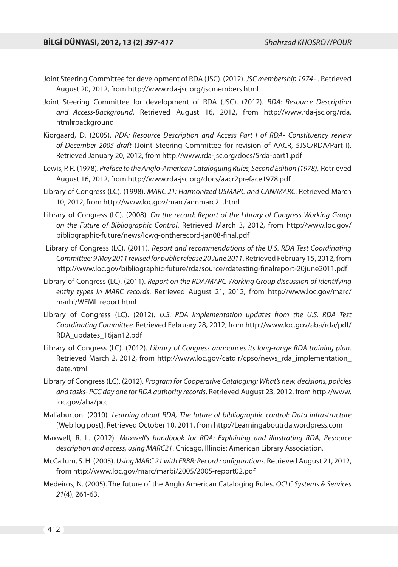- Joint Steering Committee for development of RDA (JSC). (2012). JSC membership 1974 . Retrieved August 20, 2012, from http://www.rda-jsc.org/jscmembers.html
- Joint Steering Committee for development of RDA (JSC). (2012). RDA: Resource Description and Access-Background. Retrieved August 16, 2012, from http://www.rda-jsc.org/rda. html#background
- Kiorgaard, D. (2005). RDA: Resource Description and Access Part I of RDA- Constituency review of December 2005 draft (Joint Steering Committee for revision of AACR, 5JSC/RDA/Part I). Retrieved January 20, 2012, from http://www.rda-jsc.org/docs/5rda-part1.pdf
- Lewis, P. R. (1978). Preface to the Anglo-American Cataloguing Rules, Second Edition (1978). Retrieved August 16, 2012, from http://www.rda-jsc.org/docs/aacr2preface1978.pdf
- Library of Congress (LC). (1998). MARC 21: Harmonized USMARC and CAN/MARC. Retrieved March 10, 2012, from http://www.loc.gov/marc/annmarc21.html
- Library of Congress (LC). (2008). On the record: Report of the Library of Congress Working Group on the Future of Bibliographic Control. Retrieved March 3, 2012, from http://www.loc.gov/ bibliographic-future/news/lcwg-ontherecord-jan08-final.pdf
- Library of Congress (LC). (2011). Report and recommendations of the U.S. RDA Test Coordinating Committee: 9 May 2011 revised for public release 20 June 2011. Retrieved February 15, 2012, from http://www.loc.gov/bibliographic-future/rda/source/rdatesting-finalreport-20june2011.pdf
- Library of Congress (LC). (2011). Report on the RDA/MARC Working Group discussion of identifying entity types in MARC records. Retrieved August 21, 2012, from http://www.loc.gov/marc/ marbi/WEMI\_report.html
- Library of Congress (LC). (2012). U.S. RDA implementation updates from the U.S. RDA Test Coordinating Committee. Retrieved February 28, 2012, from http://www.loc.gov/aba/rda/pdf/ RDA\_updates\_16jan12.pdf
- Library of Congress (LC). (2012). Library of Congress announces its long-range RDA training plan. Retrieved March 2, 2012, from http://www.loc.gov/catdir/cpso/news\_rda\_implementation\_ date.html
- Library of Congress (LC). (2012). Program for Cooperative Cataloging: What's new, decisions, policies and tasks- PCC day one for RDA authority records. Retrieved August 23, 2012, from http://www. loc.gov/aba/pcc
- Maliaburton. (2010). Learning about RDA, The future of bibliographic control: Data infrastructure [Web log post]. Retrieved October 10, 2011, from http://Learningaboutrda.wordpress.com
- Maxwell, R. L. (2012). Maxwell's handbook for RDA: Explaining and illustrating RDA, Resource description and access, using MARC21. Chicago, Illinois: American Library Association.
- McCallum, S. H. (2005). Using MARC 21 with FRBR: Record configurations. Retrieved August 21, 2012, from http://www.loc.gov/marc/marbi/2005/2005-report02.pdf
- Medeiros, N. (2005). The future of the Anglo American Cataloging Rules. OCLC Systems & Services 21(4), 261-63.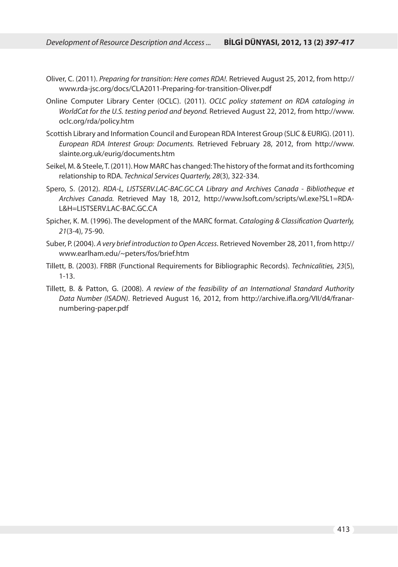- Oliver, C. (2011). Preparing for transition: Here comes RDA!. Retrieved August 25, 2012, from http:// www.rda-jsc.org/docs/CLA2011-Preparing-for-transition-Oliver.pdf
- Online Computer Library Center (OCLC). (2011). OCLC policy statement on RDA cataloging in WorldCat for the U.S. testing period and beyond. Retrieved August 22, 2012, from http://www. oclc.org/rda/policy.htm
- Scottish Library and Information Council and European RDA Interest Group (SLIC & EURIG). (2011). European RDA Interest Group: Documents. Retrieved February 28, 2012, from http://www. slainte.org.uk/eurig/documents.htm
- Seikel, M. & Steele, T. (2011). How MARC has changed: The history of the format and its forthcoming relationship to RDA. Technical Services Quarterly, 28(3), 322-334.
- Spero, S. (2012). RDA-L, LISTSERV.LAC-BAC.GC.CA Library and Archives Canada Bibliotheque et Archives Canada. Retrieved May 18, 2012, http://www.lsoft.com/scripts/wl.exe?SL1=RDA-L&H=LISTSERV.LAC-BAC.GC.CA
- Spicher, K. M. (1996). The development of the MARC format. Cataloging & Classification Quarterly, 21(3-4), 75-90.
- Suber, P. (2004). A very brief introduction to Open Access. Retrieved November 28, 2011, from http:// www.earlham.edu/~peters/fos/brief.htm
- Tillett, B. (2003). FRBR (Functional Requirements for Bibliographic Records). Technicalities, 23(5), 1-13.
- Tillett, B. & Patton, G. (2008). A review of the feasibility of an International Standard Authority Data Number (ISADN). Retrieved August 16, 2012, from http://archive.ifla.org/VII/d4/franarnumbering-paper.pdf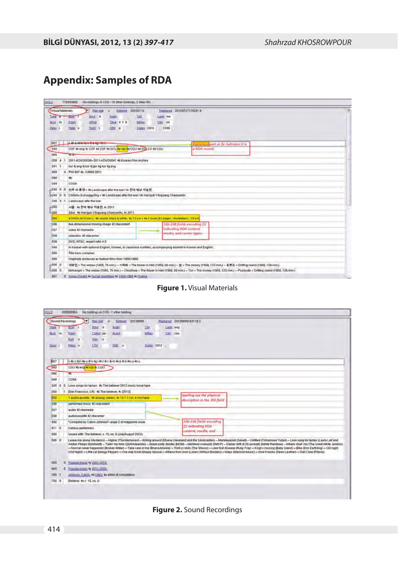## **Appendix: Samples of RDA**

| ocLC                                                     | 772633662<br>No holdings in COS - 15 affrer holdings; 2 other IRs.                                                                                                                                                                                                |                              |
|----------------------------------------------------------|-------------------------------------------------------------------------------------------------------------------------------------------------------------------------------------------------------------------------------------------------------------------|------------------------------|
| Visual Materials<br>Type of<br><b>BLVL</b><br>m<br>Desc. | <b>Berstat</b><br>Entered 20120113<br>201207271752318<br><b>Replaced</b><br>$\mathbf{r}$<br>Sise d<br>Ciri<br>Lang lose<br>Augn<br><b>ELT</b><br>Time: 4 1 0<br>MR65<br>GPub<br>Ctry<br>kit<br>Form<br>DtSt p<br><b>Dates 2010</b><br>. 1955<br>Thiat y<br>Tech 1 |                              |
| <b>DDT</b>                                               |                                                                                                                                                                                                                                                                   | a part at Se Indicates it is |
| 040                                                      | a RDA record.<br>COF #bleng #c COF #d COF #d OCL #e rds #d CGU #d OCL CO #d CGU                                                                                                                                                                                   |                              |
| 066                                                      | $FC + T$                                                                                                                                                                                                                                                          |                              |
| 028<br>$\overline{1}$<br><b>A</b>                        | 2011-KDVD0038-2011-KDVD0041 #b Korean Film Archive                                                                                                                                                                                                                |                              |
| 041<br>л                                                 | Not it eng it kor it jan to kor ta eng                                                                                                                                                                                                                            |                              |
| 050                                                      | 4 PN1997 #b. C4866 2011                                                                                                                                                                                                                                           |                              |
| DSO                                                      | #b                                                                                                                                                                                                                                                                |                              |
| 049                                                      | COSA                                                                                                                                                                                                                                                              |                              |
| $-245.0$<br>$\overline{0}$                               | 전후 의통경 - (b Landscape after the war / (c 한국 명령 자료원                                                                                                                                                                                                                |                              |
| $-246.0$<br>10                                           | Chonhu úi p'unggyŏng = 46 Landscape after the war / 4c Harrguk Yōngsang Charyowón.                                                                                                                                                                                |                              |
|                                                          | 246 3 1 Landscape after the war                                                                                                                                                                                                                                   |                              |
| $-260$                                                   | 서울 46 한국 영상 자료원 46 2011                                                                                                                                                                                                                                           |                              |
| 1,260                                                    | Soul: #b Harriguk Yongsang Charyowon, #c 2011.                                                                                                                                                                                                                    |                              |
| 300                                                      | 4 DVDs (410 mm.) . #b sound, black & white . #c 12 cm + #c 1 book (51 pages : illustrations : 19 cm                                                                                                                                                               |                              |
| 336                                                      | 336-338 fields encoding S2<br>two-dimensional moving image #2 rdacontent                                                                                                                                                                                          |                              |
| 337                                                      | indicating RDA content,<br>video 42 rdamedia                                                                                                                                                                                                                      |                              |
| 338                                                      | media, and carrier types.<br>ustendisc 42 marginer                                                                                                                                                                                                                |                              |
| 528                                                      | DVD; NTSC; aspect ratio 4:3.                                                                                                                                                                                                                                      |                              |
| 546                                                      | In Korean with optional English, Korean, or Japanese subtitles, accompanying booklet in Korean and English.                                                                                                                                                       |                              |
| 500                                                      | Title trom container.                                                                                                                                                                                                                                             |                              |
| 500                                                      | Originally produced as feature films from 1955-1950.                                                                                                                                                                                                              |                              |
| $-605$ 0                                                 | 미량인 = The widow (1955, 75 min) - 지옥화 = The flower in Hell (1958, 86 min) - 온 = The money (1958, 123 min) - 표류도 = Drifting Island (1960, 128 min) -                                                                                                                |                              |
| L5050                                                    | Mimangin = The widow (1955, 75 min.) - Chiokhwa = The flower in Hell (1958, 86 min.) - Ton = The money (1958, 123 min.) - Pyoryudo = Drifting island (1950, 128 min.)                                                                                             |                              |
| 651<br>$\mathbf{0}$                                      | Korea (South) # Social conditions # 1948-1960 # Drama.                                                                                                                                                                                                            | <b>Value</b>                 |



| locLo  |       | 806686954                                                            | No holdings in COS - 1 other holding |             |          |                  |              |          |                                                                                                                                                                                                                                                                                                                                                                                                                                                                                                                                                                                                                                                                                                                                                                                                                                 |
|--------|-------|----------------------------------------------------------------------|--------------------------------------|-------------|----------|------------------|--------------|----------|---------------------------------------------------------------------------------------------------------------------------------------------------------------------------------------------------------------------------------------------------------------------------------------------------------------------------------------------------------------------------------------------------------------------------------------------------------------------------------------------------------------------------------------------------------------------------------------------------------------------------------------------------------------------------------------------------------------------------------------------------------------------------------------------------------------------------------|
|        |       | Sound Recordings<br>∖-⊧                                              | <b>Recistal</b><br>$\pi$             | Entered     | 20120809 |                  |              |          | Replaced 20120809153118.2                                                                                                                                                                                                                                                                                                                                                                                                                                                                                                                                                                                                                                                                                                                                                                                                       |
| Type 3 |       | ELVI                                                                 | Srce d                               | Audn        |          | C <sub>III</sub> |              | Lung eng |                                                                                                                                                                                                                                                                                                                                                                                                                                                                                                                                                                                                                                                                                                                                                                                                                                 |
| BLvd m |       | Fromm                                                                | Comp pp                              | <b>AccM</b> |          | MRet.            |              | Ctry cau |                                                                                                                                                                                                                                                                                                                                                                                                                                                                                                                                                                                                                                                                                                                                                                                                                                 |
|        |       | Part in                                                              | TrAt in                              |             |          |                  |              |          |                                                                                                                                                                                                                                                                                                                                                                                                                                                                                                                                                                                                                                                                                                                                                                                                                                 |
| Dett:  |       | <b>EMUs</b> in                                                       | <b>LTz1</b>                          | DISI v      |          |                  | Dates 2012 . |          |                                                                                                                                                                                                                                                                                                                                                                                                                                                                                                                                                                                                                                                                                                                                                                                                                                 |
|        |       |                                                                      |                                      |             |          |                  |              |          |                                                                                                                                                                                                                                                                                                                                                                                                                                                                                                                                                                                                                                                                                                                                                                                                                                 |
| DO7    |       | ctb ctd i te u ttn tai th i tic tim tkp tin tm u tn u                |                                      |             |          |                  |              |          |                                                                                                                                                                                                                                                                                                                                                                                                                                                                                                                                                                                                                                                                                                                                                                                                                                 |
| 040    |       | CGU 4b and 4e nia 4c CGU                                             |                                      |             |          |                  |              |          |                                                                                                                                                                                                                                                                                                                                                                                                                                                                                                                                                                                                                                                                                                                                                                                                                                 |
| 090    |       | 40                                                                   |                                      |             |          |                  |              |          |                                                                                                                                                                                                                                                                                                                                                                                                                                                                                                                                                                                                                                                                                                                                                                                                                                 |
| 049    |       | COSA                                                                 |                                      |             |          |                  |              |          |                                                                                                                                                                                                                                                                                                                                                                                                                                                                                                                                                                                                                                                                                                                                                                                                                                 |
|        |       | 245 0 0 Love songs for lamps : 4b The believer 2012 music issue tape |                                      |             |          |                  |              |          |                                                                                                                                                                                                                                                                                                                                                                                                                                                                                                                                                                                                                                                                                                                                                                                                                                 |
| 264    | н     | (San Francisco, CA): 4b The between 4c (2012)                        |                                      |             |          |                  |              |          |                                                                                                                                                                                                                                                                                                                                                                                                                                                                                                                                                                                                                                                                                                                                                                                                                                 |
| 300    |       | 1 audiocassette : 4b analog, stereo; 4c 10 = 7 cm, 4 mm tape.        |                                      |             |          |                  |              |          | Spelling out the physical<br>description in the 300 field.                                                                                                                                                                                                                                                                                                                                                                                                                                                                                                                                                                                                                                                                                                                                                                      |
| 336    |       | certormed music 42 rdacontent                                        |                                      |             |          |                  |              |          |                                                                                                                                                                                                                                                                                                                                                                                                                                                                                                                                                                                                                                                                                                                                                                                                                                 |
| 337    |       | sudio 42 rdsmedis                                                    |                                      |             |          |                  |              |          |                                                                                                                                                                                                                                                                                                                                                                                                                                                                                                                                                                                                                                                                                                                                                                                                                                 |
| 338    |       | audiocascette 42 rdacamier                                           |                                      |             |          |                  |              |          |                                                                                                                                                                                                                                                                                                                                                                                                                                                                                                                                                                                                                                                                                                                                                                                                                                 |
| 500    |       | *Compiled by Calvin Johnson'-page 2 of magazine issue                |                                      |             |          |                  |              |          | 336-336 fields encoding                                                                                                                                                                                                                                                                                                                                                                                                                                                                                                                                                                                                                                                                                                                                                                                                         |
| 611 0  |       | Various performers.                                                  |                                      |             |          |                  |              |          | \$2 Indicating RDA<br>content, media, and                                                                                                                                                                                                                                                                                                                                                                                                                                                                                                                                                                                                                                                                                                                                                                                       |
| 500    |       | issued with The believer, v. 10, nn. 6 (July/August 2012).           |                                      |             |          |                  |              |          |                                                                                                                                                                                                                                                                                                                                                                                                                                                                                                                                                                                                                                                                                                                                                                                                                                 |
| 505 0  |       |                                                                      |                                      |             |          |                  |              |          | Leave me alone (Hydents) - Higher (The Memories) - Itching around (Shana Claveland and the Sandcastles) - Marbley ezed (Soviet) - Untitled (Tomorrown Tulips) - Love song for lamps (Laura Lef and<br>Amber Phelps Bondarott) - Takin' my fime (Skrift Meadow) - Boner party itonite) (MOM) - Montreal screwido (HAVP) - Darker difft (4:20 excerpt) (White Rainbow) - Where shall be (The Great White Jenisht)<br>- Normal newer happened (Broken Water) - Take care of me (Briana Marela) - Thrill yr idols (The Shivas) - Love that disease (Ruby Fray) - King's crossing (Baby Island) - Bike (Erin Earthling) - Old night<br>(Old Night) - Little cal Bylancy Peoper) - One way ficket (Happy Noose) - Athena from bow (Lovers Without Borders) - Maps (Mansion Music) - How it works (Sewn Leather) - Diet Coke (Priedis) |
| 650    |       | 0 Popular music +/ 2001-2010                                         |                                      |             |          |                  |              |          |                                                                                                                                                                                                                                                                                                                                                                                                                                                                                                                                                                                                                                                                                                                                                                                                                                 |
| 660    |       | 0 Popular music ty 2011-2028                                         |                                      |             |          |                  |              |          |                                                                                                                                                                                                                                                                                                                                                                                                                                                                                                                                                                                                                                                                                                                                                                                                                                 |
| 700 1  |       | Johnson, Calvin, 4d 1962, to editor of compliation.                  |                                      |             |          |                  |              |          |                                                                                                                                                                                                                                                                                                                                                                                                                                                                                                                                                                                                                                                                                                                                                                                                                                 |
|        | 730 0 | Believer, 4nv. 10, no. 6.                                            |                                      |             |          |                  |              |          |                                                                                                                                                                                                                                                                                                                                                                                                                                                                                                                                                                                                                                                                                                                                                                                                                                 |

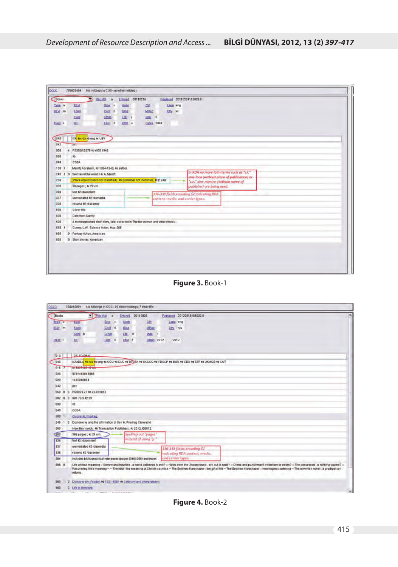|            | 703602464          | No holdings in COS - no other holdings                                           |             |                  |           |            |          |                                                                                          |  |  |  |  |  |  |  |  |
|------------|--------------------|----------------------------------------------------------------------------------|-------------|------------------|-----------|------------|----------|------------------------------------------------------------------------------------------|--|--|--|--|--|--|--|--|
| Books      |                    | Recistat in<br>∍                                                                 |             | Entered 20110216 |           |            |          | Replaced 20110224115628.8                                                                |  |  |  |  |  |  |  |  |
| Type a     | Etat               | Site +                                                                           | <b>Audo</b> |                  | <b>CM</b> |            | Lang eng |                                                                                          |  |  |  |  |  |  |  |  |
| BLvd m     | Ecem               | Cont 0                                                                           | Blog        |                  | MBec      |            | City ax  |                                                                                          |  |  |  |  |  |  |  |  |
|            | Cont               | CRUB                                                                             | LIE: 1      |                  | ings 0    |            |          |                                                                                          |  |  |  |  |  |  |  |  |
| Desc 4     | <b>III</b>         | Fest 0                                                                           |             | DISI 6           |           | Dates 1948 | $\sim$   |                                                                                          |  |  |  |  |  |  |  |  |
| 040        |                    | DOM: He rda Hb eng 4c UBY.                                                       |             |                  |           |            |          |                                                                                          |  |  |  |  |  |  |  |  |
| D42        | pre                |                                                                                  |             |                  |           |            |          |                                                                                          |  |  |  |  |  |  |  |  |
| 060        |                    | 4 PS3525 E676 40 W65 1948                                                        |             |                  |           |            |          |                                                                                          |  |  |  |  |  |  |  |  |
| 090        | Hb.                |                                                                                  |             |                  |           |            |          |                                                                                          |  |  |  |  |  |  |  |  |
| 049        | COSA               |                                                                                  |             |                  |           |            |          |                                                                                          |  |  |  |  |  |  |  |  |
| 100 1      |                    | Merritt, Abraham, 4d 1884-1943, #e author.                                       |             |                  |           |            |          |                                                                                          |  |  |  |  |  |  |  |  |
|            |                    | 246 1 0 Woman of the wood / #c A. Memitt.                                        |             |                  |           |            |          | In RDA no more latin terms such as "s.l."<br>sine loco (without place of publication) or |  |  |  |  |  |  |  |  |
| 260        |                    | [Place of publication not identified] : 46 [publisher not identified], 4c [1949] |             |                  |           |            |          | 's.n.' sine nomine (without name of                                                      |  |  |  |  |  |  |  |  |
|            |                    |                                                                                  |             |                  |           |            |          |                                                                                          |  |  |  |  |  |  |  |  |
| 300        |                    | 60 pages; #c 22 cm                                                               |             |                  |           |            |          | publisher) are being used.                                                               |  |  |  |  |  |  |  |  |
| <b>JUG</b> | text +2 roacontent |                                                                                  |             |                  |           |            |          |                                                                                          |  |  |  |  |  |  |  |  |
| 337        |                    | unmediated #2 rdamedia                                                           |             |                  |           |            |          | 336-338 fields encoding \$2 indicating RDA<br>content media and carrier lypes.           |  |  |  |  |  |  |  |  |
| 338        |                    | volume 42 roacamer                                                               |             |                  |           |            |          |                                                                                          |  |  |  |  |  |  |  |  |
| 500        | Dovernme.          |                                                                                  |             |                  |           |            |          |                                                                                          |  |  |  |  |  |  |  |  |
| 600        | Date from Currey.  |                                                                                  |             |                  |           |            |          |                                                                                          |  |  |  |  |  |  |  |  |
| 600        |                    | A mimeographed short story, later collected in The for woman and other stories.  |             |                  |           |            |          |                                                                                          |  |  |  |  |  |  |  |  |
| 610.4      |                    | Currey, L.W. Science fiction, #c.p. 188.                                         |             |                  |           |            |          |                                                                                          |  |  |  |  |  |  |  |  |
| 666        |                    | 0 Fantasy fiction, American                                                      |             |                  |           |            |          |                                                                                          |  |  |  |  |  |  |  |  |

**Figure 3.** Book-1

| <b>DCLC</b>         | 758243991<br>No holdings in COS - 99 other holdings; 7 other IRs                                                                                                                                                                                                                                                                                                                                                                           |
|---------------------|--------------------------------------------------------------------------------------------------------------------------------------------------------------------------------------------------------------------------------------------------------------------------------------------------------------------------------------------------------------------------------------------------------------------------------------------|
| <b>Dooks</b>        | <sup>*</sup> Pac stat<br>Entered 20110928<br>Replaced 20120016105022.0<br>E                                                                                                                                                                                                                                                                                                                                                                |
| Type a              | Chi<br><b>Audo</b><br>Lang eng<br>Seco.<br>$\overline{c}$<br><b>Literat</b>                                                                                                                                                                                                                                                                                                                                                                |
| Blad m              | $C$ oni 0<br>Diog<br>MRac<br>City niv<br>Form                                                                                                                                                                                                                                                                                                                                                                                              |
|                     | Cont b<br>GPub<br>1序 0<br>Indx 1                                                                                                                                                                                                                                                                                                                                                                                                           |
| Dest:               | Eest 0<br>DISt +<br><b>Dates 2012</b><br><b>His</b><br>$-2012$                                                                                                                                                                                                                                                                                                                                                                             |
| $q_1q$              | 2011040541                                                                                                                                                                                                                                                                                                                                                                                                                                 |
| 040                 | ICUIDLO He ida to end to CGU to DLC to BTOTA to OCLCO to YDXCP to BWX to CDX to STF to UKMGB to CUT                                                                                                                                                                                                                                                                                                                                        |
| 018.7               | UT6075167-42-Ltx                                                                                                                                                                                                                                                                                                                                                                                                                           |
| 020                 | 0701412046066                                                                                                                                                                                                                                                                                                                                                                                                                              |
| 020                 | 1412946064                                                                                                                                                                                                                                                                                                                                                                                                                                 |
| 042                 | <b>DEC</b>                                                                                                                                                                                                                                                                                                                                                                                                                                 |
| 050<br>$\mathbf{n}$ | 0 PG3328 Z7 4b L543 2012                                                                                                                                                                                                                                                                                                                                                                                                                   |
|                     | 082 0 0 891.73/3 42 23                                                                                                                                                                                                                                                                                                                                                                                                                     |
| 090                 | $+6$                                                                                                                                                                                                                                                                                                                                                                                                                                       |
| 049                 | COSA                                                                                                                                                                                                                                                                                                                                                                                                                                       |
| 100.                | Cingracki, Predrag.                                                                                                                                                                                                                                                                                                                                                                                                                        |
| $246 +$             | 0 Dostoevsky and the attrmation of life / #c Predrag Cicovacki.                                                                                                                                                                                                                                                                                                                                                                            |
| 260                 | New Brunswick: 46 Transaction Publishers, #c 2012, C2012.                                                                                                                                                                                                                                                                                                                                                                                  |
| (300)               | Spelling out "pages"<br>366 pages; k 24 cm.                                                                                                                                                                                                                                                                                                                                                                                                |
| 936                 | instead of using it."<br>fext #2 rdacontent                                                                                                                                                                                                                                                                                                                                                                                                |
| 337                 | unmediated #2 rdamedia<br>336-338 fields encoding \$2                                                                                                                                                                                                                                                                                                                                                                                      |
| 338                 | volume #2 rescamer<br>Indicating RDA content, media.                                                                                                                                                                                                                                                                                                                                                                                       |
| 504                 | and carrier types.<br>includes bibliographical references (pages (346)-358) and index.                                                                                                                                                                                                                                                                                                                                                     |
| 505 0               | Life without meaning - Somow and Injustice : a world delivered to evil? - Notes from the Underground : evil out of spite? - Crime and punishment victimizer or victim? - The possessed : is nothing sucred? -<br>Recovering life's meaning -- The Idiof: the meaning of Christ's sacrifice - The Brothers Karamazov : the gift of ille - The Brothers Karamazov : meaningless suffering - The unwritten novel : a prodigal son<br>returns. |
| 800<br>Ü.           | Destoyevsky, Fyodor, 4d 1821-1881 W. Criticism and interpretation:                                                                                                                                                                                                                                                                                                                                                                         |
| 850                 | 0 Life in illerature.                                                                                                                                                                                                                                                                                                                                                                                                                      |

**Figure 4.** Book-2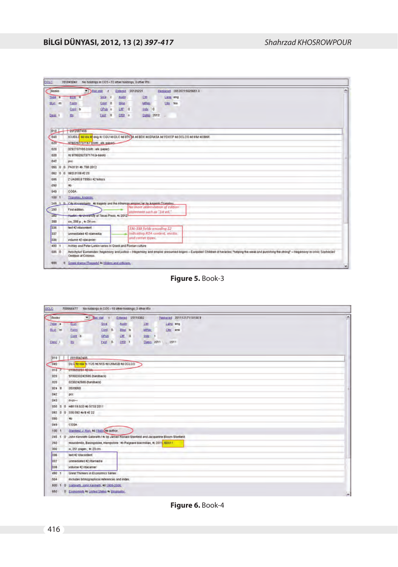| Books         |                | <b>Becatat</b>                                                                         | $\mathbf{r}$  |        | Entered 20120221                                               |            |          |          | Beplaced 20120715025651.0                                                                                                                                                                          |
|---------------|----------------|----------------------------------------------------------------------------------------|---------------|--------|----------------------------------------------------------------|------------|----------|----------|----------------------------------------------------------------------------------------------------------------------------------------------------------------------------------------------------|
| Type a        | <b>ELYI</b> 8  |                                                                                        | Site c        | Audo   |                                                                | Ctrl       |          | Lang eng |                                                                                                                                                                                                    |
| <b>BLVI</b> m | Earm           |                                                                                        | Cont 0        | Blog   |                                                                | MBec       | City box |          |                                                                                                                                                                                                    |
|               | Cont b         |                                                                                        | <b>GPUB</b> 8 | LIFE 0 |                                                                | Indy 0     |          |          |                                                                                                                                                                                                    |
| Dest.         | Ht.            |                                                                                        | Fest 0        | DISt 4 |                                                                | Date: 2012 |          |          |                                                                                                                                                                                                    |
| 010           |                | 2012007466                                                                             |               |        |                                                                |            |          |          |                                                                                                                                                                                                    |
| 040           |                |                                                                                        |               |        |                                                                |            |          |          | ICUIDLO 4e ida 40 ena 4c COU 4d DLC 4d BTC IA 4d BDX 4d ERASA 4d VDXCP 4d DCLCO 4d IRM 4d BMX                                                                                                      |
| 020           |                | 9780292737167 (cloth alk paper)                                                        |               |        |                                                                |            |          |          |                                                                                                                                                                                                    |
| 020           |                | 0292737165 (cloth ) alk pager)                                                         |               |        |                                                                |            |          |          |                                                                                                                                                                                                    |
| 020           |                | +z 9780292737174 (e-book)                                                              |               |        |                                                                |            |          |          |                                                                                                                                                                                                    |
| 042           | pté            |                                                                                        |               |        |                                                                |            |          |          |                                                                                                                                                                                                    |
| 050<br>通      | iū.            | PA3131 #b T95 2012                                                                     |               |        |                                                                |            |          |          |                                                                                                                                                                                                    |
| 082 0         | $\mathbf{0}$   | 882/0109 42 23                                                                         |               |        |                                                                |            |          |          |                                                                                                                                                                                                    |
| 085           |                | Z UA380 B T995ci #2 trdocs                                                             |               |        |                                                                |            |          |          |                                                                                                                                                                                                    |
| 090           | 40             |                                                                                        |               |        |                                                                |            |          |          |                                                                                                                                                                                                    |
| 049           | CÓSA.          |                                                                                        |               |        |                                                                |            |          |          |                                                                                                                                                                                                    |
| 100.3         |                | Tzanatou, Angeliki                                                                     |               |        |                                                                |            |          |          |                                                                                                                                                                                                    |
|               |                | 245 1 0 City exampliants . No tragedy and the Athenran empire for by Angelik Transfnu. |               |        |                                                                |            |          |          |                                                                                                                                                                                                    |
| 250           | First edition. |                                                                                        |               |        | No more abbreviation of edition<br>statement such as "1st ed." |            |          |          |                                                                                                                                                                                                    |
| 20V           |                | <b>Push- N-University of Texas Press, #c 2012</b>                                      |               |        |                                                                |            |          |          |                                                                                                                                                                                                    |
| 300           |                | xw, 208 p ; +c 24 cm                                                                   |               |        |                                                                |            |          |          |                                                                                                                                                                                                    |
| 336           |                | text #2 resonatent                                                                     |               |        | 336-338 fields encoding \$2                                    |            |          |          |                                                                                                                                                                                                    |
| 337           |                | unmediated 42 rdamedia                                                                 |               |        | Indicating RDA content, media.                                 |            |          |          |                                                                                                                                                                                                    |
| 338           |                | volume #2 rdacanier                                                                    |               |        | and carrier types."                                            |            |          |          |                                                                                                                                                                                                    |
| 490 1         |                | Ashley and Peter Lankin series in Greek and Roman culture                              |               |        |                                                                |            |          |          |                                                                                                                                                                                                    |
| 505 0         |                | Oedibus at Colonus.                                                                    |               |        |                                                                |            |          |          | Aeschylus' Eumenides: hegemony and justice - Hegemony and empire: presumed origins - Euripides' Children of heractes. "helping the weak and punishing the strong" - Hegemony in crisis: Sophories' |

**Figure 5.** Book-3

| Books     | * Because c<br>Entered 20110302<br>Reglaced 201112171101009                                 |                          |
|-----------|---------------------------------------------------------------------------------------------|--------------------------|
| Type a    | Size<br>Ctrl<br>dist<br>Lang eng<br><b>Rudn</b>                                             |                          |
| BLvt m    | Conf 0<br>Form<br>MRec<br><b>Blog b</b><br>Ctry enk                                         |                          |
|           | GPub<br>Core b<br>Litt o<br>ings 1                                                          |                          |
| Desc 1    | Date: 2011 . 2011<br>取<br><b>Eest 0</b><br>DS 1                                             |                          |
| 010       | 2010042405                                                                                  |                          |
| 040       | DLC fe rda (c YUS #d N15 #d UKMGB #d OCLCO                                                  |                          |
| $016 - 7$ | 010000261-10444                                                                             |                          |
| 020       | 9780230242685 (hardback)                                                                    |                          |
| 020       | 0230242685 (hardback)                                                                       |                          |
| 024 8     | 3539060                                                                                     |                          |
| 042       | prc                                                                                         |                          |
| 043       | fi-US-                                                                                      |                          |
| 850       | 0 0 HB119,633 #b S733 2011                                                                  |                          |
|           | 082 0 0 330 092 43 8 42 22                                                                  |                          |
| 090       | 46                                                                                          |                          |
| 049       | COSA:                                                                                       |                          |
| 100 1     | Stanteld, J. Ron, 4d 1945-18e author.                                                       |                          |
|           | 245 1 0 John Kenneth Galbrath / Ic by James Ronald Stanfield and Jacqueline Bloom Stanfield |                          |
| 260       | Houndmills, Basingstoke, Hampshire (#b Palgrave Macmillan, #c 2011, 62011)                  |                          |
| 300       | xi, 251 pages; #c 23 cm                                                                     |                          |
| 336       | text #2 rolacontent                                                                         |                          |
| 337       | unmediated #2 rdamedia                                                                      |                          |
| 338       | volume #2 rdacamer                                                                          |                          |
| 490 1     | Great Thinkers in Economics Series                                                          |                          |
| 504       | includes bibliographical references and index.                                              |                          |
| 600       | 0 Galbrath, John Kenneth, 4d 1908-2006.                                                     |                          |
| 650       | 0 Economists #z United States # Blogtantiv.                                                 | $\overline{\phantom{a}}$ |

**Figure 6.** Book-4